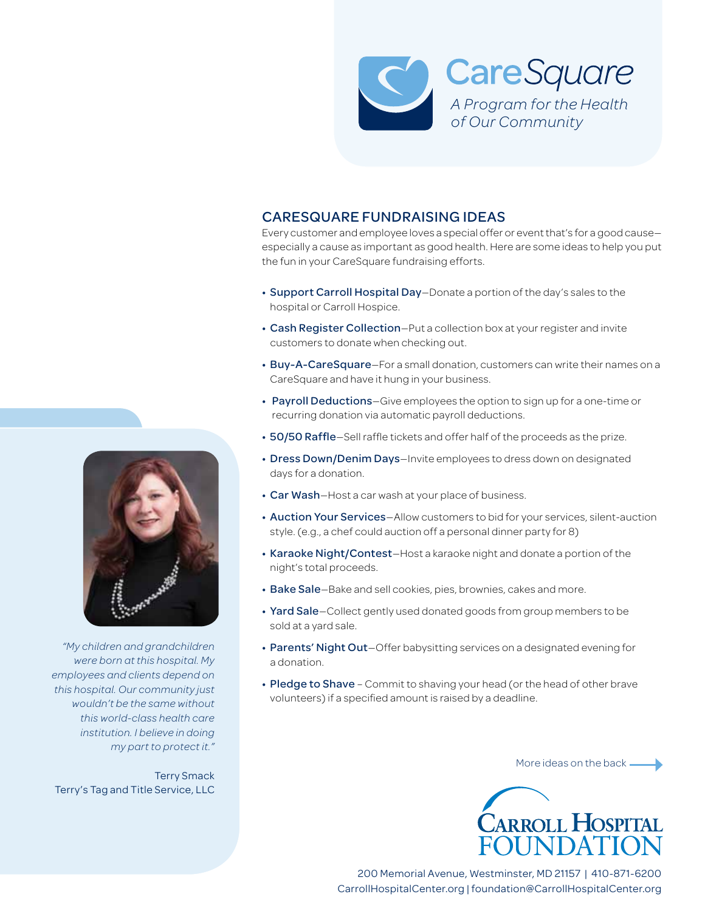

## CARESQUARE FUNDRAISING IDEAS

Every customer and employee loves a special offer or event that's for a good cause especially a cause as important as good health. Here are some ideas to help you put the fun in your CareSquare fundraising efforts.

- Support Carroll Hospital Day-Donate a portion of the day's sales to the hospital or Carroll Hospice.
- Cash Register Collection-Put a collection box at your register and invite customers to donate when checking out.
- Buy-A-CareSquare-For a small donation, customers can write their names on a CareSquare and have it hung in your business.
- Payroll Deductions—Give employees the option to sign up for a one-time or recurring donation via automatic payroll deductions.
- 50/50 Raffle-Sell raffle tickets and offer half of the proceeds as the prize.
- Dress Down/Denim Days—Invite employees to dress down on designated days for a donation.
- Car Wash—Host a car wash at your place of business.
- Auction Your Services-Allow customers to bid for your services, silent-auction style. (e.g., a chef could auction off a personal dinner party for 8)
- Karaoke Night/Contest—Host a karaoke night and donate a portion of the night's total proceeds.
- Bake Sale—Bake and sell cookies, pies, brownies, cakes and more.
- Yard Sale-Collect gently used donated goods from group members to be sold at a yard sale.
- Parents' Night Out-Offer babysitting services on a designated evening for a donation.
- Pledge to Shave Commit to shaving your head (or the head of other brave volunteers) if a specified amount is raised by a deadline.

More ideas on the back



200 Memorial Avenue, Westminster, MD 21157 | 410-871-6200 CarrollHospitalCenter.org | foundation@CarrollHospitalCenter.org



*"My children and grandchildren were born at this hospital. My employees and clients depend on this hospital. Our community just wouldn't be the same without this world-class health care institution. I believe in doing my part to protect it."* 

Terry Smack Terry's Tag and Title Service, LLC